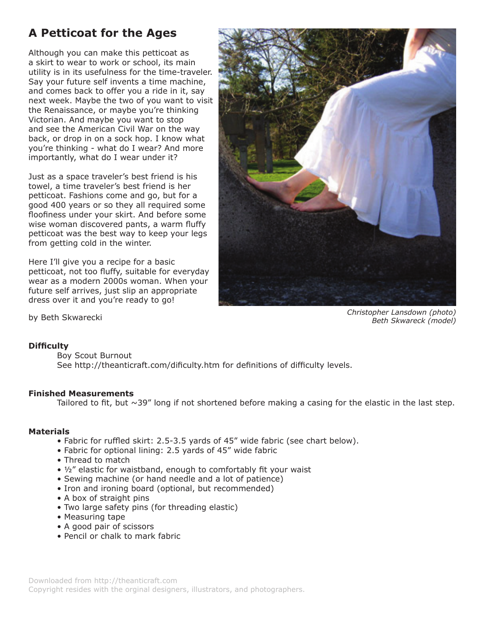# **A Petticoat for the Ages**

Although you can make this petticoat as a skirt to wear to work or school, its main utility is in its usefulness for the time-traveler. Say your future self invents a time machine, and comes back to offer you a ride in it, say next week. Maybe the two of you want to visit the Renaissance, or maybe you're thinking Victorian. And maybe you want to stop and see the American Civil War on the way back, or drop in on a sock hop. I know what you're thinking - what do I wear? And more importantly, what do I wear under it?

Just as a space traveler's best friend is his towel, a time traveler's best friend is her petticoat. Fashions come and go, but for a good 400 years or so they all required some floofiness under your skirt. And before some wise woman discovered pants, a warm fluffy petticoat was the best way to keep your legs from getting cold in the winter.

Here I'll give you a recipe for a basic petticoat, not too fluffy, suitable for everyday wear as a modern 2000s woman. When your future self arrives, just slip an appropriate dress over it and you're ready to go!



*Christopher Lansdown (photo) Beth Skwareck (model)* 

by Beth Skwarecki

# **Difficulty**

Boy Scout Burnout

 See http://theanticraft.com/dificulty.htm for definitions of difficulty levels.

# **Finished Measurements**

Tailored to fit, but  $\sim$ 39" long if not shortened before making a casing for the elastic in the last step.

# **Materials**

- Fabric for ruffled skirt: 2.5-3.5 yards of 45" wide fabric (see chart below).
- Fabric for optional lining: 2.5 yards of 45" wide fabric
- Thread to match
- ½" elastic for waistband, enough to comfortably fit your waist
- Sewing machine (or hand needle and a lot of patience)
- Iron and ironing board (optional, but recommended)
- A box of straight pins
- Two large safety pins (for threading elastic)
- Measuring tape
- A good pair of scissors
- Pencil or chalk to mark fabric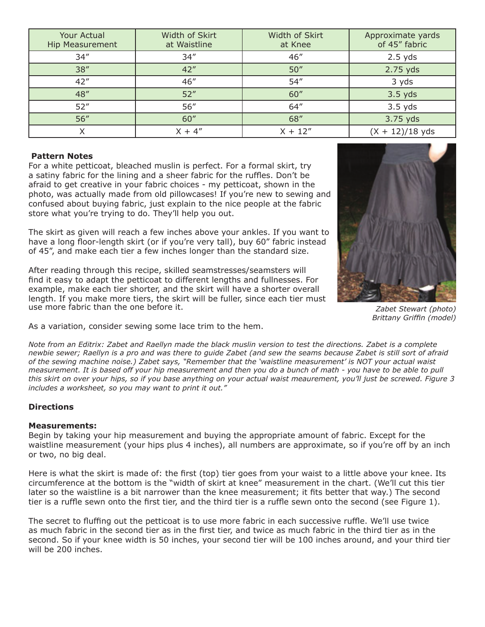| <b>Your Actual</b><br><b>Hip Measurement</b> | Width of Skirt<br>at Waistline | Width of Skirt<br>at Knee | Approximate yards<br>of 45" fabric |
|----------------------------------------------|--------------------------------|---------------------------|------------------------------------|
| 34''                                         | 34''                           | 46''                      | $2.5$ yds                          |
| 38''                                         | 42''                           | 50''                      | 2.75 yds                           |
| 42''                                         | 46''                           | 54''                      | 3 yds                              |
| 48"                                          | 52"                            | 60''                      | $3.5$ yds                          |
| 52''                                         | 56''                           | 64''                      | $3.5$ yds                          |
| 56''                                         | 60''                           | 68"                       | 3.75 yds                           |
| ∧                                            | $X + 4''$                      | $X + 12''$                | $(X + 12)/18$ yds                  |

### **Pattern Notes**

For a white petticoat, bleached muslin is perfect. For a formal skirt, try a satiny fabric for the lining and a sheer fabric for the ruffles. Don't be afraid to get creative in your fabric choices - my petticoat, shown in the photo, was actually made from old pillowcases! If you're new to sewing and confused about buying fabric, just explain to the nice people at the fabric store what you're trying to do. They'll help you out.

The skirt as given will reach a few inches above your ankles. If you want to have a long floor-length skirt (or if you're very tall), buy 60" fabric instead of 45", and make each tier a few inches longer than the standard size.

After reading through this recipe, skilled seamstresses/seamsters will find it easy to adapt the petticoat to different lengths and fullnesses. For example, make each tier shorter, and the skirt will have a shorter overall length. If you make more tiers, the skirt will be fuller, since each tier must use more fabric than the one before it.



*Zabet Stewart (photo) Brittany Griffin (model)* 

As a variation, consider sewing some lace trim to the hem.

*Note from an Editrix: Zabet and Raellyn made the black muslin version to test the directions. Zabet is a complete newbie sewer; Raellyn is a pro and was there to guide Zabet (and sew the seams because Zabet is still sort of afraid of the sewing machine noise.) Zabet says, "Remember that the 'waistline measurement' is NOT your actual waist measurement. It is based off your hip measurement and then you do a bunch of math - you have to be able to pull this skirt on over your hips, so if you base anything on your actual waist meaurement, you'll just be screwed. Figure 3 includes a worksheet, so you may want to print it out."* 

# **Directions**

# **Measurements:**

Begin by taking your hip measurement and buying the appropriate amount of fabric. Except for the waistline measurement (your hips plus 4 inches), all numbers are approximate, so if you're off by an inch or two, no big deal.

Here is what the skirt is made of: the first (top) tier goes from your waist to a little above your knee. Its circumference at the bottom is the "width of skirt at knee" measurement in the chart. (We'll cut this tier later so the waistline is a bit narrower than the knee measurement; it fits better that way.) The second tier is a ruffle sewn onto the first tier, and the third tier is a ruffle sewn onto the second (see Figure 1).

The secret to fluffing out the petticoat is to use more fabric in each successive ruffle. We'll use twice as much fabric in the second tier as in the first tier, and twice as much fabric in the third tier as in the second. So if your knee width is 50 inches, your second tier will be 100 inches around, and your third tier will be 200 inches.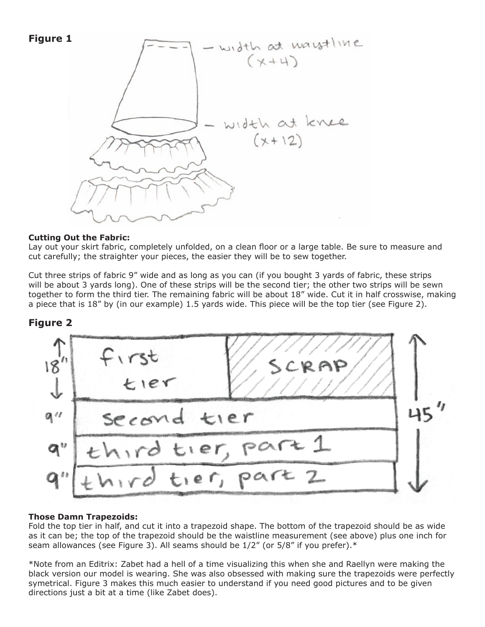



### **Cutting Out the Fabric:**

Lay out your skirt fabric, completely unfolded, on a clean floor or a large table. Be sure to measure and cut carefully; the straighter your pieces, the easier they will be to sew together.

Cut three strips of fabric 9" wide and as long as you can (if you bought 3 yards of fabric, these strips will be about 3 yards long). One of these strips will be the second tier; the other two strips will be sewn together to form the third tier. The remaining fabric will be about 18" wide. Cut it in half crosswise, making a piece that is 18" by (in our example) 1.5 yards wide. This piece will be the top tier (see Figure 2).





# **Those Damn Trapezoids:**

Fold the top tier in half, and cut it into a trapezoid shape. The bottom of the trapezoid should be as wide as it can be; the top of the trapezoid should be the waistline measurement (see above) plus one inch for seam allowances (see Figure 3). All seams should be  $1/2''$  (or 5/8" if you prefer). $*$ 

\*Note from an Editrix: Zabet had a hell of a time visualizing this when she and Raellyn were making the black version our model is wearing. She was also obsessed with making sure the trapezoids were perfectly symetrical. Figure 3 makes this much easier to understand if you need good pictures and to be given directions just a bit at a time (like Zabet does).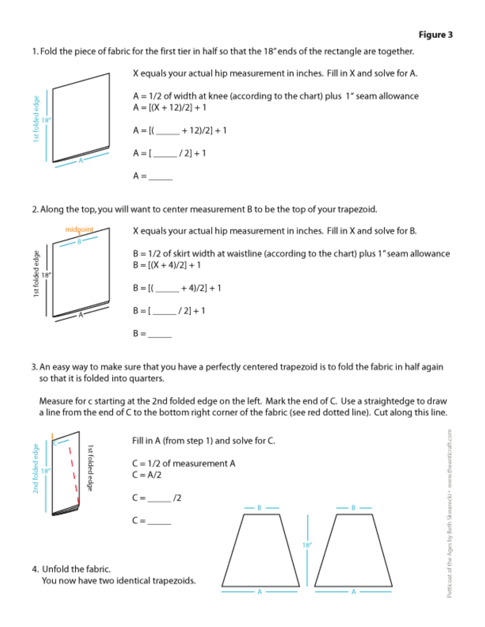1. Fold the piece of fabric for the first tier in half so that the 18" ends of the rectangle are together.



X equals your actual hip measurement in inches. Fill in X and solve for A.  $A = 1/2$  of width at knee (according to the chart) plus 1" seam allowance  $A = [(X + 12)/2] + 1$  $A = [$ ( $\underline{\qquad}$  + 12)/2] + 1  $A = [\underline{\hspace{1cm}} / 2] + 1$  $A =$ 

2. Along the top, you will want to center measurement B to be the top of your trapezoid.



X equals your actual hip measurement in inches. Fill in X and solve for B.

 $B = 1/2$  of skirt width at waistline (according to the chart) plus 1" seam allowance  $B = [(X + 4)/2] + 1$ 

```
B = [( +4)/2] + 1
B = [ /2]+1
```
3. An easy way to make sure that you have a perfectly centered trapezoid is to fold the fabric in half again so that it is folded into quarters.

Measure for c starting at the 2nd folded edge on the left. Mark the end of C. Use a straightedge to draw a line from the end of C to the bottom right corner of the fabric (see red dotted line). Cut along this line.

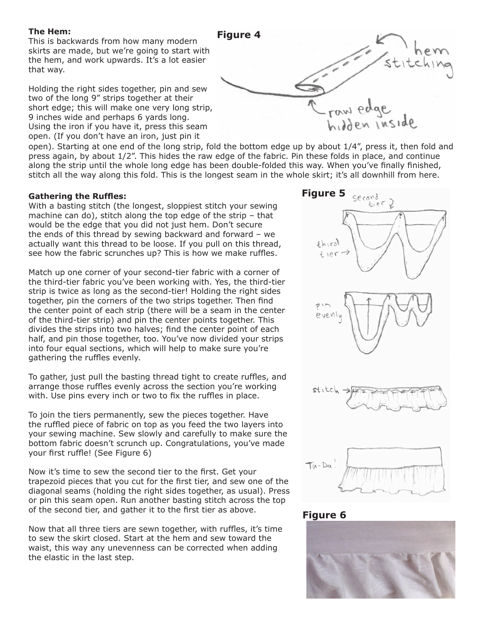#### **The Hem:**

This is backwards from how many modern skirts are made, but we're going to start with the hem, and work upwards. It's a lot easier that way.

Holding the right sides together, pin and sew two of the long 9" strips together at their short edge; this will make one very long strip, 9 inches wide and perhaps 6 yards long. Using the iron if you have it, press this seam open. (If you don't have an iron, just pin it



open). Starting at one end of the long strip, fold the bottom edge up by about 1/4", press it, then fold and press again, by about 1/2". This hides the raw edge of the fabric. Pin these folds in place, and continue along the strip until the whole long edge has been double-folded this way. When you've finally finished, stitch all the way along this fold. This is the longest seam in the whole skirt; it's all downhill from here.

### **Gathering the Ruffles:**

With a basting stitch (the longest, sloppiest stitch your sewing machine can do), stitch along the top edge of the strip – that would be the edge that you did not just hem. Don't secure the ends of this thread by sewing backward and forward – we actually want this thread to be loose. If you pull on this thread, see how the fabric scrunches up? This is how we make ruffles.

Match up one corner of your second-tier fabric with a corner of the third-tier fabric you've been working with. Yes, the third-tier strip is twice as long as the second-tier! Holding the right sides together, pin the corners of the two strips together. Then find the center point of each strip (there will be a seam in the center of the third-tier strip) and pin the center points together. This divides the strips into two halves; find the center point of each half, and pin those together, too. You've now divided your strips into four equal sections, which will help to make sure you're gathering the ruffles evenly.

To gather, just pull the basting thread tight to create ruffles, and arrange those ruffles evenly across the section you're working with. Use pins every inch or two to fix the ruffles in place.

To join the tiers permanently, sew the pieces together. Have the ruffled piece of fabric on top as you feed the two layers into your sewing machine. Sew slowly and carefully to make sure the bottom fabric doesn't scrunch up. Congratulations, you've made your first ruffle! (See Figure 6)

Now it's time to sew the second tier to the first. Get your trapezoid pieces that you cut for the first tier, and sew one of the diagonal seams (holding the right sides together, as usual). Press or pin this seam open. Run another basting stitch across the top of the second tier, and gather it to the first tier as above.

Now that all three tiers are sewn together, with ruffles, it's time to sew the skirt closed. Start at the hem and sew toward the waist, this way any unevenness can be corrected when adding the elastic in the last step.



# **Figure 6**